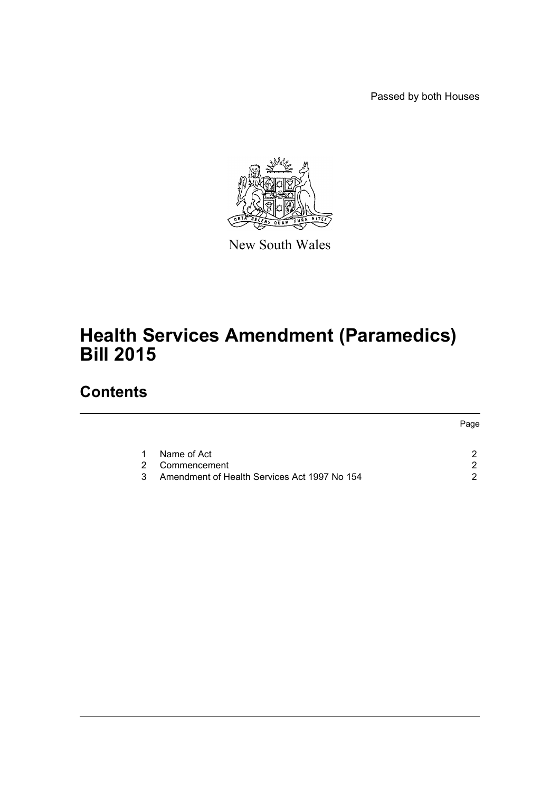Passed by both Houses



New South Wales

# **Health Services Amendment (Paramedics) Bill 2015**

# **Contents**

|   |                                              | Page |
|---|----------------------------------------------|------|
|   | Name of Act                                  |      |
| 2 | Commencement                                 |      |
| 3 | Amendment of Health Services Act 1997 No 154 |      |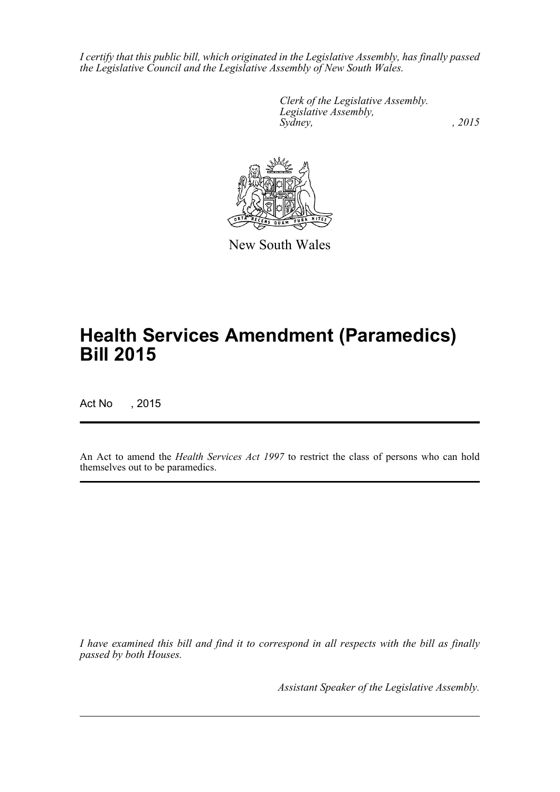*I certify that this public bill, which originated in the Legislative Assembly, has finally passed the Legislative Council and the Legislative Assembly of New South Wales.*

> *Clerk of the Legislative Assembly. Legislative Assembly, Sydney,* , 2015



New South Wales

# **Health Services Amendment (Paramedics) Bill 2015**

Act No , 2015

An Act to amend the *Health Services Act 1997* to restrict the class of persons who can hold themselves out to be paramedics.

*I have examined this bill and find it to correspond in all respects with the bill as finally passed by both Houses.*

*Assistant Speaker of the Legislative Assembly.*